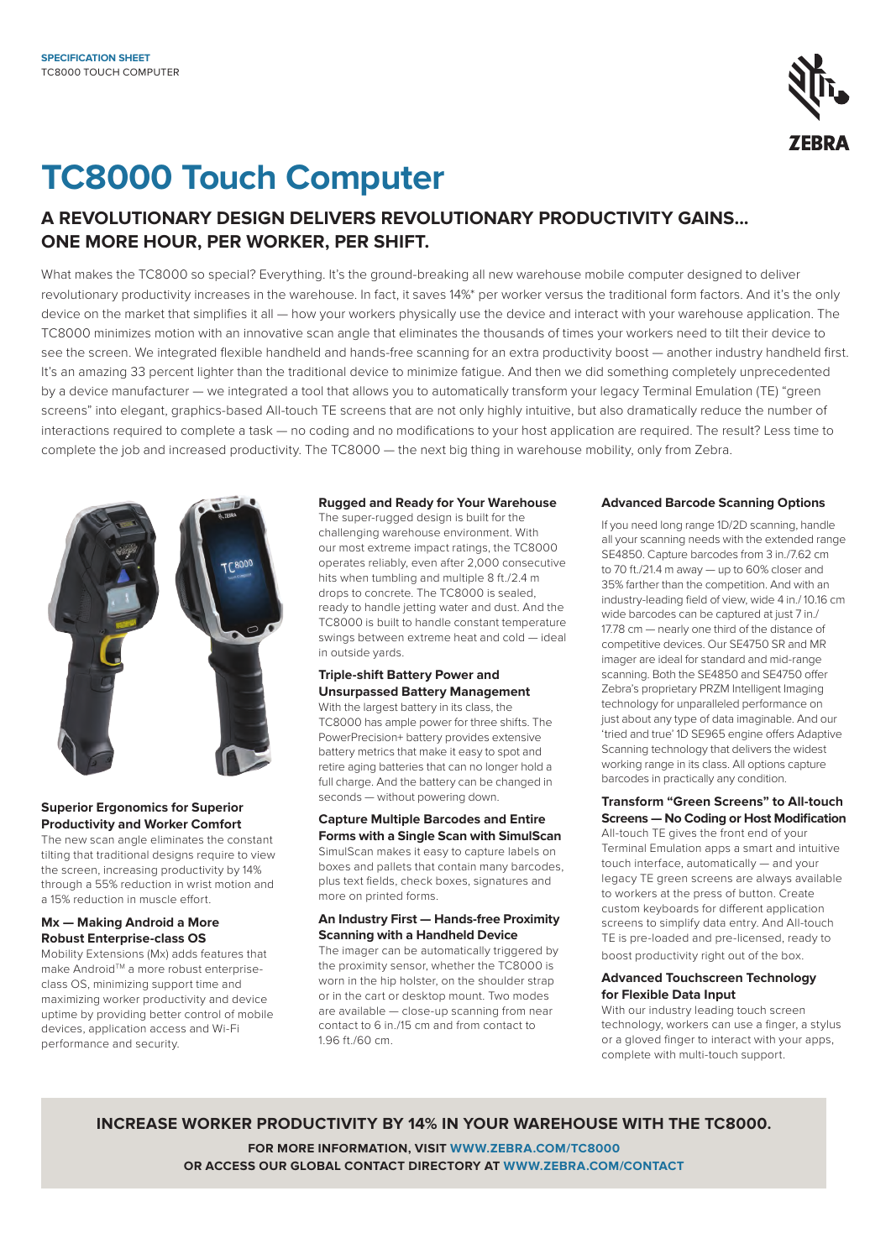

# **TC8000 Touch Computer**

# **A REVOLUTIONARY DESIGN DELIVERS REVOLUTIONARY PRODUCTIVITY GAINS... ONE MORE HOUR, PER WORKER, PER SHIFT.**

What makes the TC8000 so special? Everything. It's the ground-breaking all new warehouse mobile computer designed to deliver revolutionary productivity increases in the warehouse. In fact, it saves 14%\* per worker versus the traditional form factors. And it's the only device on the market that simplifies it all — how your workers physically use the device and interact with your warehouse application. The TC8000 minimizes motion with an innovative scan angle that eliminates the thousands of times your workers need to tilt their device to see the screen. We integrated flexible handheld and hands-free scanning for an extra productivity boost — another industry handheld first. It's an amazing 33 percent lighter than the traditional device to minimize fatigue. And then we did something completely unprecedented by a device manufacturer — we integrated a tool that allows you to automatically transform your legacy Terminal Emulation (TE) "green screens" into elegant, graphics-based All-touch TE screens that are not only highly intuitive, but also dramatically reduce the number of interactions required to complete a task — no coding and no modifications to your host application are required. The result? Less time to complete the job and increased productivity. The TC8000 — the next big thing in warehouse mobility, only from Zebra.



#### **Superior Ergonomics for Superior Productivity and Worker Comfort**

The new scan angle eliminates the constant tilting that traditional designs require to view the screen, increasing productivity by 14% through a 55% reduction in wrist motion and a 15% reduction in muscle effort.

### **Mx — Making Android a More Robust Enterprise-class OS**

Mobility Extensions (Mx) adds features that make Android™ a more robust enterpriseclass OS, minimizing support time and maximizing worker productivity and device uptime by providing better control of mobile devices, application access and Wi-Fi performance and security.

#### **Rugged and Ready for Your Warehouse**

The super-rugged design is built for the challenging warehouse environment. With our most extreme impact ratings, the TC8000 operates reliably, even after 2,000 consecutive hits when tumbling and multiple 8 ft./2.4 m drops to concrete. The TC8000 is sealed, ready to handle jetting water and dust. And the TC8000 is built to handle constant temperature swings between extreme heat and cold — ideal in outside yards.

#### **Triple-shift Battery Power and Unsurpassed Battery Management**

With the largest battery in its class, the TC8000 has ample power for three shifts. The PowerPrecision+ battery provides extensive battery metrics that make it easy to spot and retire aging batteries that can no longer hold a full charge. And the battery can be changed in seconds — without powering down.

### **Capture Multiple Barcodes and Entire Forms with a Single Scan with SimulScan**

SimulScan makes it easy to capture labels on boxes and pallets that contain many barcodes, plus text fields, check boxes, signatures and more on printed forms.

#### **An Industry First — Hands-free Proximity Scanning with a Handheld Device**

The imager can be automatically triggered by the proximity sensor, whether the TC8000 is worn in the hip holster, on the shoulder strap or in the cart or desktop mount. Two modes are available — close-up scanning from near contact to 6 in./15 cm and from contact to 1.96 ft./60 cm.

#### **Advanced Barcode Scanning Options**

If you need long range 1D/2D scanning, handle all your scanning needs with the extended range SE4850. Capture barcodes from 3 in./7.62 cm to 70 ft./21.4 m away — up to 60% closer and 35% farther than the competition. And with an industry-leading field of view, wide 4 in./ 10.16 cm wide barcodes can be captured at just 7 in./ 17.78 cm — nearly one third of the distance of competitive devices. Our SE4750 SR and MR imager are ideal for standard and mid-range scanning. Both the SE4850 and SE4750 offer Zebra's proprietary PRZM Intelligent Imaging technology for unparalleled performance on just about any type of data imaginable. And our 'tried and true' 1D SE965 engine offers Adaptive Scanning technology that delivers the widest working range in its class. All options capture barcodes in practically any condition.

### **Transform "Green Screens" to All-touch Screens — No Coding or Host Modification**

All-touch TE gives the front end of your Terminal Emulation apps a smart and intuitive touch interface, automatically — and your legacy TE green screens are always available to workers at the press of button. Create custom keyboards for different application screens to simplify data entry. And All-touch TE is pre-loaded and pre-licensed, ready to boost productivity right out of the box.

#### **Advanced Touchscreen Technology for Flexible Data Input**

With our industry leading touch screen technology, workers can use a finger, a stylus or a gloved finger to interact with your apps, complete with multi-touch support.

**INCREASE WORKER PRODUCTIVITY BY 14% IN YOUR WAREHOUSE WITH THE TC8000.**

**FOR MORE INFORMATION, VISIT [WWW.ZEBRA.COM/TC8000](http://www.Zebra.com/TC8000) OR ACCESS OUR GLOBAL CONTACT DIRECTORY AT [WWW.ZEBRA.COM/CONTACT](http://www.zebra.com/contact)**